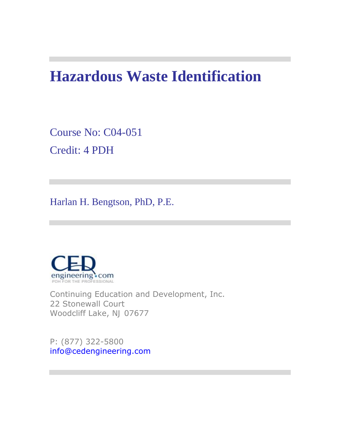# **Hazardous Waste Identification**

Course No: C04-051 Credit: 4 PDH

Harlan H. Bengtson, PhD, P.E.



Continuing Education and Development, Inc. 22 Stonewall Court Woodcliff Lake, NJ 07677

P: (877) 322-5800 info@cedengineering.com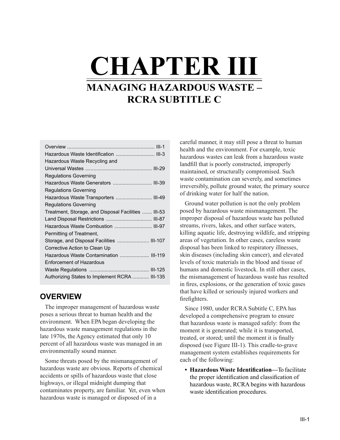# **CHAPTER III MANAGING HAZARDOUS WASTE – RCRA SUBTITLE C**

| Hazardous Waste Identification  III-3               |
|-----------------------------------------------------|
| Hazardous Waste Recycling and                       |
|                                                     |
| <b>Regulations Governing</b>                        |
| Hazardous Waste Generators  III-39                  |
| <b>Regulations Governing</b>                        |
| Hazardous Waste Transporters  III-49                |
| <b>Regulations Governing</b>                        |
| Treatment, Storage, and Disposal Facilities  III-53 |
| Land Disposal Restrictions  III-87                  |
| Hazardous Waste Combustion  III-97                  |
| Permitting of Treatment,                            |
| Storage, and Disposal Facilities  III-107           |
| Corrective Action to Clean Up                       |
| Hazardous Waste Contamination  III-119              |
| <b>Enforcement of Hazardous</b>                     |
|                                                     |
| Authorizing States to Implement RCRA  III-135       |
|                                                     |

# **OVERVIEW**

The improper management of hazardous waste poses a serious threat to human health and the environment. When EPA began developing the hazardous waste management regulations in the late 1970s, the Agency estimated that only 10 percent of all hazardous waste was managed in an environmentally sound manner.

Some threats posed by the mismanagement of hazardous waste are obvious. Reports of chemical accidents or spills of hazardous waste that close highways, or illegal midnight dumping that contaminates property, are familiar. Yet, even when hazardous waste is managed or disposed of in a

careful manner, it may still pose a threat to human health and the environment. For example, toxic hazardous wastes can leak from a hazardous waste landfill that is poorly constructed, improperly maintained, or structurally compromised. Such waste contamination can severely, and sometimes irreversibly, pollute ground water, the primary source of drinking water for half the nation.

Ground water pollution is not the only problem posed by hazardous waste mismanagement. The improper disposal of hazardous waste has polluted streams, rivers, lakes, and other surface waters, killing aquatic life, destroying wildlife, and stripping areas of vegetation. In other cases, careless waste disposal has been linked to respiratory illnesses, skin diseases (including skin cancer), and elevated levels of toxic materials in the blood and tissue of humans and domestic livestock. In still other cases, the mismanagement of hazardous waste has resulted in fires, explosions, or the generation of toxic gases that have killed or seriously injured workers and firefighters.

Since 1980, under RCRA Subtitle C, EPA has developed a comprehensive program to ensure that hazardous waste is managed safely: from the moment it is generated; while it is transported, treated, or stored; until the moment it is finally disposed (see Figure III-1). This cradle-to-grave management system establishes requirements for each of the following:

**• Hazardous Waste Identification—**To facilitate the proper identification and classification of hazardous waste, RCRA begins with hazardous waste identification procedures.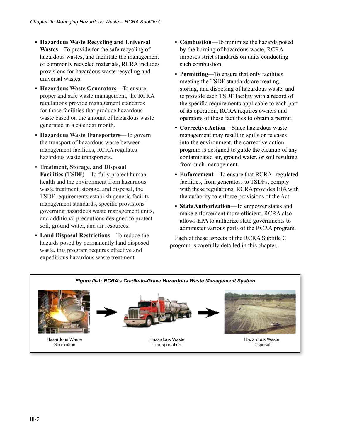- **• Hazardous Waste Recycling and Universal Wastes—**To provide for the safe recycling of hazardous wastes, and facilitate the management of commonly recycled materials, RCRA includes provisions for hazardous waste recycling and universal wastes.
- **• Hazardous Waste Generators—**To ensure proper and safe waste management, the RCRA regulations provide management standards for those facilities that produce hazardous waste based on the amount of hazardous waste generated in a calendar month.
- **• Hazardous Waste Transporters—**To govern the transport of hazardous waste between management facilities, RCRA regulates hazardous waste transporters.
- **• Treatment, Storage, and Disposal Facilities (TSDF)—**To fully protect human health and the environment from hazardous waste treatment, storage, and disposal, the TSDF requirements establish generic facility management standards, specific provisions governing hazardous waste management units, and additional precautions designed to protect soil, ground water, and air resources.
- **• Land Disposal Restrictions—**To reduce the hazards posed by permanently land disposed waste, this program requires effective and expeditious hazardous waste treatment.
- **• Combustion—**To minimize the hazards posed by the burning of hazardous waste, RCRA imposes strict standards on units conducting such combustion.
- **• Permitting—**To ensure that only facilities meeting the TSDF standards are treating, storing, and disposing of hazardous waste, and to provide each TSDF facility with a record of the specific requirements applicable to each part of its operation, RCRA requires owners and operators of these facilities to obtain a permit.
- **• Corrective Action—**Since hazardous waste management may result in spills or releases into the environment, the corrective action program is designed to guide the cleanup of any contaminated air, ground water, or soil resulting from such management.
- **• Enforcement—**To ensure that RCRA- regulated facilities, from generators to TSDFs, comply with these regulations, RCRA provides EPA with the authority to enforce provisions of the Act.
- **• State Authorization—**To empower states and make enforcement more efficient, RCRA also allows EPA to authorize state governments to administer various parts of the RCRA program.

Each of these aspects of the RCRA Subtitle C program is carefully detailed in this chapter.

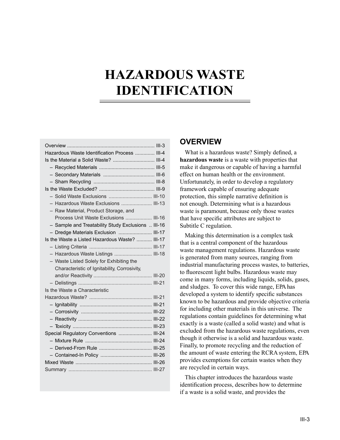# **HAZARDOUS WASTE IDENTIFICATION**

| Hazardous Waste Identification Process  III-4      |  |
|----------------------------------------------------|--|
| Is the Material a Solid Waste?  III-4              |  |
|                                                    |  |
|                                                    |  |
|                                                    |  |
|                                                    |  |
| - Solid Waste Exclusions  III-10                   |  |
| - Hazardous Waste Exclusions  III-13               |  |
| - Raw Material, Product Storage, and               |  |
| Process Unit Waste Exclusions  III-16              |  |
| - Sample and Treatability Study Exclusions  III-16 |  |
| - Dredge Materials Exclusion  III-17               |  |
| Is the Waste a Listed Hazardous Waste?  III-17     |  |
|                                                    |  |
| - Hazardous Waste Listings  III-18                 |  |
| - Waste Listed Solely for Exhibiting the           |  |
| Characteristic of Ignitability, Corrosivity,       |  |
|                                                    |  |
|                                                    |  |
| Is the Waste a Characteristic                      |  |
|                                                    |  |
|                                                    |  |
|                                                    |  |
|                                                    |  |
|                                                    |  |
| Special Regulatory Conventions  III-24             |  |
|                                                    |  |
|                                                    |  |
|                                                    |  |
|                                                    |  |
|                                                    |  |
|                                                    |  |

## **OVERVIEW**

What is a hazardous waste? Simply defined, a **hazardous waste** is a waste with properties that make it dangerous or capable of having a harmful effect on human health or the environment. Unfortunately, in order to develop a regulatory framework capable of ensuring adequate protection, this simple narrative definition is not enough. Determining what is a hazardous waste is paramount, because only those wastes that have specific attributes are subject to Subtitle C regulation.

Making this determination is a complex task that is a central component of the hazardous waste management regulations. Hazardous waste is generated from many sources, ranging from industrial manufacturing process wastes, to batteries, to fluorescent light bulbs. Hazardous waste may come in many forms, including liquids, solids, gases, and sludges. To cover this wide range, EPA has developed a system to identify specific substances known to be hazardous and provide objective criteria for including other materials in this universe. The regulations contain guidelines for determining what exactly is a waste (called a solid waste) and what is excluded from the hazardous waste regulations, even though it otherwise is a solid and hazardous waste. Finally, to promote recycling and the reduction of the amount of waste entering the RCRA system, EPA provides exemptions for certain wastes when they are recycled in certain ways.

This chapter introduces the hazardous waste identification process, describes how to determine if a waste is a solid waste, and provides the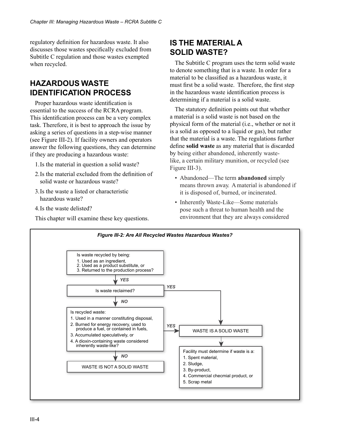regulatory definition for hazardous waste. It also discusses those wastes specifically excluded from Subtitle C regulation and those wastes exempted when recycled.

# **HAZARDOUS WASTE IDENTIFICATION PROCESS**

Proper hazardous waste identification is essential to the success of the RCRA program. This identification process can be a very complex task. Therefore, it is best to approach the issue by asking a series of questions in a step-wise manner (see Figure III-2). If facility owners and operators answer the following questions, they can determine if they are producing a hazardous waste:

- 1.Is the material in question a solid waste?
- 2.Is the material excluded from the definition of solid waste or hazardous waste?
- 3.Is the waste a listed or characteristic hazardous waste?
- 4.Is the waste delisted?

This chapter will examine these key questions.

# **IS THE MATERIAL A SOLID WASTE?**

The Subtitle C program uses the term solid waste to denote something that is a waste. In order for a material to be classified as a hazardous waste, it must first be a solid waste. Therefore, the first step in the hazardous waste identification process is determining if a material is a solid waste.

The statutory definition points out that whether a material is a solid waste is not based on the physical form of the material (i.e., whether or not it is a solid as opposed to a liquid or gas), but rather that the material is a waste. The regulations further define **solid waste** as any material that is discarded by being either abandoned, inherently wastelike, a certain military munition, or recycled (see Figure III-3).

- Abandoned—The term **abandoned** simply means thrown away. A material is abandoned if it is disposed of, burned, or incinerated.
- Inherently Waste-Like—Some materials pose such a threat to human health and the environment that they are always considered

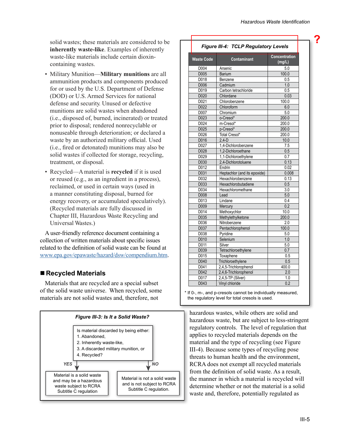**?**

solid wastes; these materials are considered to be **inherently waste-like**. Examples of inherently waste-like materials include certain dioxincontaining wastes.

- Military Munition—**Military munitions** are all ammunition products and components produced for or used by the U.S. Department of Defense (DOD) or U.S. Armed Services for national defense and security. Unused or defective munitions are solid wastes when abandoned (i.e., disposed of, burned, incinerated) or treated prior to disposal; rendered nonrecyclable or nonuseable through deterioration; or declared a waste by an authorized military official. Used (i.e., fired or detonated) munitions may also be solid wastes if collected for storage, recycling, treatment, or disposal.
- Recycled—A material is **recycled** if it is used or reused (e.g., as an ingredient in a process), reclaimed, or used in certain ways (used in a manner constituting disposal, burned for energy recovery, or accumulated speculatively). (Recycled materials are fully discussed in Chapter III, Hazardous Waste Recycling and Universal Wastes.)

A user-friendly reference document containing a collection of written materials about specific issues related to the definition of solid waste can be found at [www.epa.gov/epawaste/hazard/dsw/compendium.htm.](www.epa.gov/epawaste/hazard/dsw/compendium.htm)

## **Recycled Materials**

Materials that are recycled are a special subset of the solid waste universe. When recycled, some materials are not solid wastes and, therefore, not



| Figure III-4: TCLP Regulatory Levels |                              |                         |  |
|--------------------------------------|------------------------------|-------------------------|--|
| <b>Waste Code</b>                    | Contaminant                  | Concentration<br>(mg/L) |  |
| D004                                 | Arsenic                      | 5.0                     |  |
| D005                                 | Barium                       | 100.0                   |  |
| D018                                 | Benzene                      | 0.5                     |  |
| D006                                 | Cadmium                      | 1.0                     |  |
| D019                                 | Carbon tetrachloride         | 0.5                     |  |
| D020                                 | Chlordane                    | 0.03                    |  |
| D021                                 | Chlorobenzene                | 100.0                   |  |
| D022                                 | Chloroform                   | 6.0                     |  |
| D007                                 | Chromium                     | 5.0                     |  |
| D023                                 | o-Cresol*                    | 200.0                   |  |
| D024                                 | $m$ -Cresol*                 | 200.0                   |  |
| D <sub>025</sub>                     | p-Cresol*                    | 200.0                   |  |
| D026                                 | Total Cresol*                | 200.0                   |  |
| D016                                 | $2,4-D$                      | 10.0                    |  |
| D027                                 | 1,4-Dichlorobenzene          | 7.5                     |  |
| D028                                 | 1,2-Dichloroethane           | 0.5                     |  |
| D029                                 | 1,1-Dichloroethylene         | 0.7                     |  |
| D030                                 | 2,4-Dichlorotoluene          | 0.13                    |  |
| D012                                 | Endrin                       | 0.02                    |  |
| D031                                 | Heptachlor (and its epoxide) | 0.008                   |  |
| D032                                 | Hexachlorobenzene            | 0.13                    |  |
| D033                                 | Hexachlorobutadiene          | 0.5                     |  |
| D034                                 | Hexachloromethane            | 3.0                     |  |
| D008                                 | Lead                         | 5.0                     |  |
| D013                                 | Lindane                      | 0.4                     |  |
| D <sub>009</sub>                     | Mercury                      | 0.2                     |  |
| D014                                 | Methoxychlor                 | 10.0                    |  |
| D035                                 | Methylethylketone            | 200.0                   |  |
| D036                                 | Nitrobenzene                 | 2.0                     |  |
| D037                                 | Pentachlorophenol            | 100.0                   |  |
| D038                                 | Pyridine                     | 5.0                     |  |
| D010                                 | Selenium                     | 1.0                     |  |
| D011                                 | Silver                       | 5.0                     |  |
| D039                                 | Tetrachloroethylene          | 0.7                     |  |
| D015                                 | Toxaphene                    | 0.5                     |  |
| D040                                 | Trichloroethylene            | 0.5                     |  |
| D041                                 | 2,4,5-Trichlorophenol        | 400.0                   |  |
| D042                                 | 2,4,6-Trichlorophenol        | 2.0                     |  |
| D <sub>017</sub>                     | 2,4,5-TP (Silver)            | 1.0                     |  |
| D043                                 | Vinyl chloride               | 0.2                     |  |

\* If 0-, m-, and p-cresols cannot be individually measured, the regulatory level for total cresols is used.

hazardous wastes, while others are solid and hazardous waste, but are subject to less-stringent regulatory controls. The level of regulation that applies to recycled materials depends on the material and the type of recycling (see Figure III-4). Because some types of recycling pose threats to human health and the environment, RCRA does not exempt all recycled materials from the definition of solid waste. As a result, the manner in which a material is recycled will determine whether or not the material is a solid waste and, therefore, potentially regulated as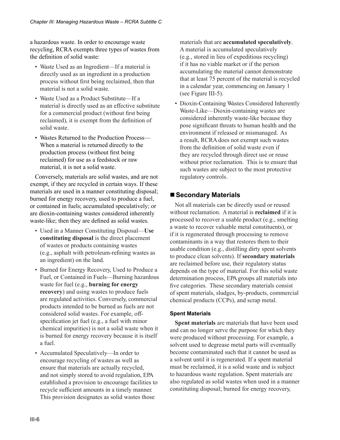a hazardous waste. In order to encourage waste recycling, RCRA exempts three types of wastes from the definition of solid waste:

- Waste Used as an Ingredient—If a material is directly used as an ingredient in a production process without first being reclaimed, then that material is not a solid waste.
- Waste Used as a Product Substitute—If a material is directly used as an effective substitute for a commercial product (without first being reclaimed), it is exempt from the definition of solid waste.
- Wastes Returned to the Production Process— When a material is returned directly to the production process (without first being reclaimed) for use as a feedstock or raw material, it is not a solid waste.

Conversely, materials are solid wastes, and are not exempt, if they are recycled in certain ways. If these materials are used in a manner constituting disposal; burned for energy recovery, used to produce a fuel, or contained in fuels; accumulated speculatively; or are dioxin-containing wastes considered inherently waste-like; then they are defined as solid wastes.

- Used in a Manner Constituting Disposal—**Use constituting disposal** is the direct placement of wastes or products containing wastes (e.g., asphalt with petroleum-refining wastes as an ingredient) on the land.
- Burned for Energy Recovery, Used to Produce a Fuel, or Contained in Fuels—Burning hazardous waste for fuel (e.g., **burning for energy recovery**) and using wastes to produce fuels are regulated activities. Conversely, commercial products intended to be burned as fuels are not considered solid wastes. For example, offspecification jet fuel (e.g., a fuel with minor chemical impurities) is not a solid waste when it is burned for energy recovery because it is itself a fuel.
- Accumulated Speculatively—In order to encourage recycling of wastes as well as ensure that materials are actually recycled, and not simply stored to avoid regulation, EPA established a provision to encourage facilities to recycle sufficient amounts in a timely manner. This provision designates as solid wastes those

materials that are **accumulated speculatively**. A material is accumulated speculatively (e.g., stored in lieu of expeditious recycling) if it has no viable market or if the person accumulating the material cannot demonstrate that at least 75 percent of the material is recycled in a calendar year, commencing on January 1 (see Figure III-5).

• Dioxin-Containing Wastes Considered Inherently Waste-Like—Dioxin-containing wastes are considered inherently waste-like because they pose significant threats to human health and the environment if released or mismanaged. As a result, RCRA does not exempt such wastes from the definition of solid waste even if they are recycled through direct use or reuse without prior reclamation. This is to ensure that such wastes are subject to the most protective regulatory controls.

# ■ Secondary Materials

Not all materials can be directly used or reused without reclamation. A material is **reclaimed** if it is processed to recover a usable product (e.g., smelting a waste to recover valuable metal constituents), or if it is regenerated through processing to remove contaminants in a way that restores them to their usable condition (e.g., distilling dirty spent solvents to produce clean solvents). If **secondary materials**  are reclaimed before use, their regulatory status depends on the type of material. For this solid waste determination process, EPA groups all materials into five categories. These secondary materials consist of spent materials, sludges, by-products, commercial chemical products (CCPs), and scrap metal.

## **Spent Materials**

**Spent materials** are materials that have been used and can no longer serve the purpose for which they were produced without processing. For example, a solvent used to degrease metal parts will eventually become contaminated such that it cannot be used as a solvent until it is regenerated. If a spent material must be reclaimed, it is a solid waste and is subject to hazardous waste regulation. Spent materials are also regulated as solid wastes when used in a manner constituting disposal; burned for energy recovery,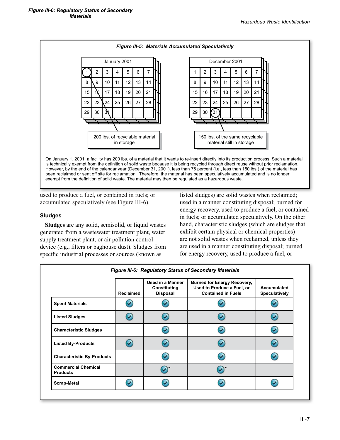

is technically exempt from the definition of solid waste because it is being recycled through direct reuse without prior reclamation. However, by the end of the calendar year (December 31, 2001), less than 75 percent (i.e., less than 150 lbs.) of the material has been reclaimed or sent off site for reclamation. Therefore, the material has been speculatively accumulated and is no longer exempt from the definition of solid waste. The material may then be regulated as a hazardous waste.

used to produce a fuel, or contained in fuels; or accumulated speculatively (see Figure III-6).

#### **Sludges**

**Sludges** are any solid, semisolid, or liquid wastes generated from a wastewater treatment plant, water supply treatment plant, or air pollution control device (e.g., filters or baghouse dust). Sludges from specific industrial processes or sources (known as

listed sludges) are solid wastes when reclaimed; used in a manner constituting disposal; burned for energy recovery, used to produce a fuel, or contained in fuels; or accumulated speculatively. On the other hand, characteristic sludges (which are sludges that exhibit certain physical or chemical properties) are not solid wastes when reclaimed, unless they are used in a manner constituting disposal; burned for energy recovery, used to produce a fuel, or

|                                               | <b>Reclaimed</b> | Used in a Manner<br>Constituting<br><b>Disposal</b> | <b>Burned for Energy Recovery,</b><br>Used to Produce a Fuel, or<br><b>Contained in Fuels</b> | Accumulated<br><b>Speculatively</b> |
|-----------------------------------------------|------------------|-----------------------------------------------------|-----------------------------------------------------------------------------------------------|-------------------------------------|
| <b>Spent Materials</b>                        |                  |                                                     |                                                                                               |                                     |
| <b>Listed Sludges</b>                         | ☞                | Z                                                   | ご                                                                                             | z                                   |
| <b>Characteristic Sludges</b>                 |                  | ↩                                                   |                                                                                               |                                     |
| <b>Listed By-Products</b>                     | ☞                | U                                                   |                                                                                               |                                     |
| <b>Characteristic By-Products</b>             |                  | ᢦ                                                   |                                                                                               |                                     |
| <b>Commercial Chemical</b><br><b>Products</b> |                  | $\blacktriangleright$                               |                                                                                               |                                     |
| <b>Scrap-Metal</b>                            |                  |                                                     |                                                                                               |                                     |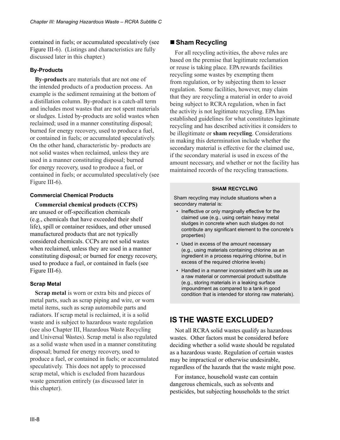contained in fuels; or accumulated speculatively (see Figure III-6). (Listings and characteristics are fully discussed later in this chapter.)

## **By-Products**

**By-products** are materials that are not one of the intended products of a production process. An example is the sediment remaining at the bottom of a distillation column. By-product is a catch-all term and includes most wastes that are not spent materials or sludges. Listed by-products are solid wastes when reclaimed; used in a manner constituting disposal; burned for energy recovery, used to produce a fuel, or contained in fuels; or accumulated speculatively. On the other hand, characteristic by- products are not solid wastes when reclaimed, unless they are used in a manner constituting disposal; burned for energy recovery, used to produce a fuel, or contained in fuels; or accumulated speculatively (see Figure III-6).

#### **Commercial Chemical Products**

**Commercial chemical products (CCPS)**  are unused or off-specification chemicals (e.g., chemicals that have exceeded their shelf life), spill or container residues, and other unused manufactured products that are not typically considered chemicals. CCPs are not solid wastes when reclaimed, unless they are used in a manner constituting disposal; or burned for energy recovery, used to produce a fuel, or contained in fuels (see Figure III-6).

#### **Scrap Metal**

**Scrap metal** is worn or extra bits and pieces of metal parts, such as scrap piping and wire, or worn metal items, such as scrap automobile parts and radiators. If scrap metal is reclaimed, it is a solid waste and is subject to hazardous waste regulation (see also Chapter III, Hazardous Waste Recycling and Universal Wastes). Scrap metal is also regulated as a solid waste when used in a manner constituting disposal; burned for energy recovery, used to produce a fuel, or contained in fuels; or accumulated speculatively. This does not apply to processed scrap metal, which is excluded from hazardous waste generation entirely (as discussed later in this chapter).

## ■ Sham Recycling

For all recycling activities, the above rules are based on the premise that legitimate reclamation or reuse is taking place. EPA rewards facilities recycling some wastes by exempting them from regulation, or by subjecting them to lesser regulation. Some facilities, however, may claim that they are recycling a material in order to avoid being subject to RCRA regulation, when in fact the activity is not legitimate recycling. EPA has established guidelines for what constitutes legitimate recycling and has described activities it considers to be illegitimate or **sham recycling**. Considerations in making this determination include whether the secondary material is effective for the claimed use, if the secondary material is used in excess of the amount necessary, and whether or not the facility has maintained records of the recycling transactions.

#### **SHAM RECYCLING**

Sham recycling may include situations when a secondary material is:

- Ineffective or only marginally effective for the claimed use (e.g., using certain heavy metal sludges in concrete when such sludges do not contribute any significant element to the concrete's properties)
- Used in excess of the amount necessary (e.g., using materials containing chlorine as an ingredient in a process requiring chlorine, but in excess of the required chlorine levels)
- Handled in a manner inconsistent with its use as a raw material or commercial product substitute (e.g., storing materials in a leaking surface impoundment as compared to a tank in good condition that is intended for storing raw materials).

# **IS THE WASTE EXCLUDED?**

Not all RCRA solid wastes qualify as hazardous wastes. Other factors must be considered before deciding whether a solid waste should be regulated as a hazardous waste. Regulation of certain wastes may be impractical or otherwise undesirable, regardless of the hazards that the waste might pose.

For instance, household waste can contain dangerous chemicals, such as solvents and pesticides, but subjecting households to the strict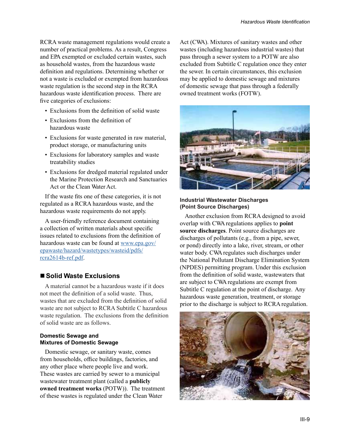RCRA waste management regulations would create a number of practical problems. As a result, Congress and EPA exempted or excluded certain wastes, such as household wastes, from the hazardous waste definition and regulations. Determining whether or not a waste is excluded or exempted from hazardous waste regulation is the second step in the RCRA hazardous waste identification process. There are five categories of exclusions:

- Exclusions from the definition of solid waste
- Exclusions from the definition of hazardous waste
- Exclusions for waste generated in raw material, product storage, or manufacturing units
- Exclusions for laboratory samples and waste treatability studies
- Exclusions for dredged material regulated under the Marine Protection Research and Sanctuaries Act or the Clean Water Act.

If the waste fits one of these categories, it is not regulated as a RCRA hazardous waste, and the hazardous waste requirements do not apply.

A user-friendly reference document containing a collection of written materials about specific issues related to exclusions from the definition of hazardous waste can be found at [www.epa.gov/](www.epa.gov/epawaste/hazard/wastetypes/wasteid/pdfs/rcra2614b-ref.pdf) [epawaste/hazard/wastetypes/wasteid/pdfs/](www.epa.gov/epawaste/hazard/wastetypes/wasteid/pdfs/rcra2614b-ref.pdf) [rcra2614b-ref.pdf.](www.epa.gov/epawaste/hazard/wastetypes/wasteid/pdfs/rcra2614b-ref.pdf)

## ■ Solid Waste Exclusions

A material cannot be a hazardous waste if it does not meet the definition of a solid waste. Thus, wastes that are excluded from the definition of solid waste are not subject to RCRA Subtitle C hazardous waste regulation. The exclusions from the definition of solid waste are as follows.

#### **Domestic Sewage and Mixtures of Domestic Sewage**

Domestic sewage, or sanitary waste, comes from households, office buildings, factories, and any other place where people live and work. These wastes are carried by sewer to a municipal wastewater treatment plant (called a **publicly owned treatment works** (POTW)). The treatment of these wastes is regulated under the Clean Water

Act (CWA). Mixtures of sanitary wastes and other wastes (including hazardous industrial wastes) that pass through a sewer system to a POTW are also excluded from Subtitle C regulation once they enter the sewer. In certain circumstances, this exclusion may be applied to domestic sewage and mixtures of domestic sewage that pass through a federally owned treatment works (FOTW).



#### **Industrial Wastewater Discharges (Point Source Discharges)**

Another exclusion from RCRA designed to avoid overlap with CWA regulations applies to **point source discharges**. Point source discharges are discharges of pollutants (e.g., from a pipe, sewer, or pond) directly into a lake, river, stream, or other water body. CWA regulates such discharges under the National Pollutant Discharge Elimination System (NPDES) permitting program. Under this exclusion from the definition of solid waste, wastewaters that are subject to CWA regulations are exempt from Subtitle C regulation at the point of discharge. Any hazardous waste generation, treatment, or storage prior to the discharge is subject to RCRA regulation.

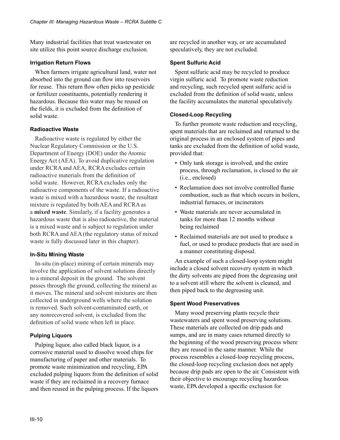Many industrial facilities that treat wastewater on site utilize this point source discharge exclusion.

#### **Irrigation Return Flows**

When farmers irrigate agricultural land, water not absorbed into the ground can flow into reservoirs for reuse. This return flow often picks up pesticide or fertilizer constituents, potentially rendering it hazardous. Because this water may be reused on the fields, it is excluded from the definition of solid waste.

#### **Radioactive Waste**

Radioactive waste is regulated by either the Nuclear Regulatory Commission or the U.S. Department of Energy (DOE) under the Atomic Energy Act (AEA). To avoid duplicative regulation under RCRA and AEA, RCRA excludes certain radioactive materials from the definition of solid waste. However, RCRA excludes only the radioactive components of the waste. If a radioactive waste is mixed with a hazardous waste, the resultant mixture is regulated by both AEA and RCRA as a **mixed waste**. Similarly, if a facility generates a hazardous waste that is also radioactive, the material is a mixed waste and is subject to regulation under both RCRA and AEA (the regulatory status of mixed waste is fully discussed later in this chapter).

## **In-Situ Mining Waste**

In-situ (in-place) mining of certain minerals may involve the application of solvent solutions directly to a mineral deposit in the ground. The solvent passes through the ground, collecting the mineral as it moves. The mineral and solvent mixtures are then collected in underground wells where the solution is removed. Such solvent-contaminated earth, or any nonrecovered solvent, is excluded from the definition of solid waste when left in place.

## **Pulping Liquors**

Pulping liquor, also called black liquor, is a corrosive material used to dissolve wood chips for manufacturing of paper and other materials. To promote waste minimization and recycling, EPA excluded pulping liquors from the definition of solid waste if they are reclaimed in a recovery furnace and then reused in the pulping process. If the liquors are recycled in another way, or are accumulated speculatively, they are not excluded.

#### **Spent Sulfuric Acid**

Spent sulfuric acid may be recycled to produce virgin sulfuric acid. To promote waste reduction and recycling, such recycled spent sulfuric acid is excluded from the definition of solid waste, unless the facility accumulates the material speculatively.

#### **Closed-Loop Recycling**

To further promote waste reduction and recycling, spent materials that are reclaimed and returned to the original process in an enclosed system of pipes and tanks are excluded from the definition of solid waste, provided that:

- Only tank storage is involved, and the entire process, through reclamation, is closed to the air (i.e., enclosed)
- Reclamation does not involve controlled flame combustion, such as that which occurs in boilers, industrial furnaces, or incinerators
- Waste materials are never accumulated in tanks for more than 12 months without being reclaimed
- Reclaimed materials are not used to produce a fuel, or used to produce products that are used in a manner constituting disposal.

An example of such a closed-loop system might include a closed solvent recovery system in which the dirty solvents are piped from the degreasing unit to a solvent still where the solvent is cleaned, and then piped back to the degreasing unit.

#### **Spent Wood Preservatives**

Many wood preserving plants recycle their wastewaters and spent wood preserving solutions. These materials are collected on drip pads and sumps, and are in many cases returned directly to the beginning of the wood preserving process where they are reused in the same manner. While the process resembles a closed-loop recycling process, the closed-loop recycling exclusion does not apply because drip pads are open to the air. Consistent with their objective to encourage recycling hazardous waste, EPA developed a specific exclusion for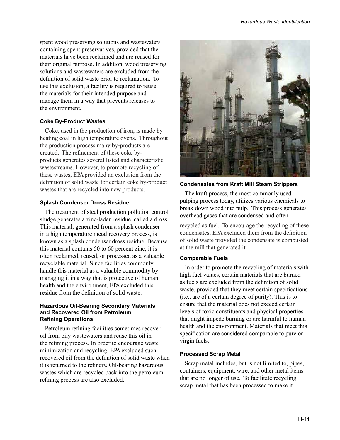spent wood preserving solutions and wastewaters containing spent preservatives, provided that the materials have been reclaimed and are reused for their original purpose. In addition, wood preserving solutions and wastewaters are excluded from the definition of solid waste prior to reclamation. To use this exclusion, a facility is required to reuse the materials for their intended purpose and manage them in a way that prevents releases to the environment.

#### **Coke By-Product Wastes**

Coke, used in the production of iron, is made by heating coal in high temperature ovens. Throughout the production process many by-products are created. The refinement of these coke byproducts generates several listed and characteristic wastestreams. However, to promote recycling of these wastes, EPA provided an exclusion from the definition of solid waste for certain coke by-product wastes that are recycled into new products.

#### **Splash Condenser Dross Residue**

The treatment of steel production pollution control sludge generates a zinc-laden residue, called a dross. This material, generated from a splash condenser in a high temperature metal recovery process, is known as a splash condenser dross residue. Because this material contains 50 to 60 percent zinc, it is often reclaimed, reused, or processed as a valuable recyclable material. Since facilities commonly handle this material as a valuable commodity by managing it in a way that is protective of human health and the environment, EPA excluded this residue from the definition of solid waste.

#### **Hazardous Oil-Bearing Secondary Materials and Recovered Oil from Petroleum Refining Operations**

Petroleum refining facilities sometimes recover oil from oily wastewaters and reuse this oil in the refining process. In order to encourage waste minimization and recycling, EPA excluded such recovered oil from the definition of solid waste when it is returned to the refinery. Oil-bearing hazardous wastes which are recycled back into the petroleum refining process are also excluded.



#### **Condensates from Kraft Mill Steam Strippers**

The kraft process, the most commonly used pulping process today, utilizes various chemicals to break down wood into pulp. This process generates overhead gases that are condensed and often

recycled as fuel. To encourage the recycling of these condensates, EPAexcluded them from the definition of solid waste provided the condensate is combusted at the mill that generated it.

#### **Comparable Fuels**

In order to promote the recycling of materials with high fuel values, certain materials that are burned as fuels are excluded from the definition of solid waste, provided that they meet certain specifications (i.e., are of a certain degree of purity). This is to ensure that the material does not exceed certain levels of toxic constituents and physical properties that might impede burning or are harmful to human health and the environment. Materials that meet this specification are considered comparable to pure or virgin fuels.

#### **Processed Scrap Metal**

Scrap metal includes, but is not limited to, pipes, containers, equipment, wire, and other metal items that are no longer of use. To facilitate recycling, scrap metal that has been processed to make it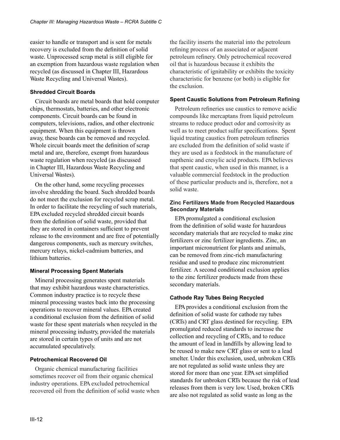easier to handle or transport and is sent for metals recovery is excluded from the definition of solid waste. Unprocessed scrap metal is still eligible for an exemption from hazardous waste regulation when recycled (as discussed in Chapter III, Hazardous Waste Recycling and Universal Wastes).

#### **Shredded Circuit Boards**

Circuit boards are metal boards that hold computer chips, thermostats, batteries, and other electronic components. Circuit boards can be found in computers, televisions, radios, and other electronic equipment. When this equipment is thrown away, these boards can be removed and recycled. Whole circuit boards meet the definition of scrap metal and are, therefore, exempt from hazardous waste regulation when recycled (as discussed in Chapter III, Hazardous Waste Recycling and Universal Wastes).

On the other hand, some recycling processes involve shredding the board. Such shredded boards do not meet the exclusion for recycled scrap metal. In order to facilitate the recycling of such materials, EPA excluded recycled shredded circuit boards from the definition of solid waste, provided that they are stored in containers sufficient to prevent release to the environment and are free of potentially dangerous components, such as mercury switches, mercury relays, nickel-cadmium batteries, and lithium batteries.

## **Mineral Processing Spent Materials**

Mineral processing generates spent materials that may exhibit hazardous waste characteristics. Common industry practice is to recycle these mineral processing wastes back into the processing operations to recover mineral values. EPA created a conditional exclusion from the definition of solid waste for these spent materials when recycled in the mineral processing industry, provided the materials are stored in certain types of units and are not accumulated speculatively.

#### **Petrochemical Recovered Oil**

Organic chemical manufacturing facilities sometimes recover oil from their organic chemical industry operations. EPA excluded petrochemical recovered oil from the definition of solid waste when the facility inserts the material into the petroleum refining process of an associated or adjacent petroleum refinery. Only petrochemical recovered oil that is hazardous because it exhibits the characteristic of ignitability or exhibits the toxicity characteristic for benzene (or both) is eligible for the exclusion.

#### **Spent Caustic Solutions from Petroleum Refining**

Petroleum refineries use caustics to remove acidic compounds like mercaptans from liquid petroleum streams to reduce product odor and corrosivity as well as to meet product sulfur specifications. Spent liquid treating caustics from petroleum refineries are excluded from the definition of solid waste if they are used as a feedstock in the manufacture of napthenic and cresylic acid products. EPA believes that spent caustic, when used in this manner, is a valuable commercial feedstock in the production of these particular products and is, therefore, not a solid waste.

#### **Zinc Fertilizers Made from Recycled Hazardous Secondary Materials**

EPA promulgated a conditional exclusion from the definition of solid waste for hazardous secondary materials that are recycled to make zinc fertilizers or zinc fertilizer ingredients. Zinc, an important micronutrient for plants and animals, can be removed from zinc-rich manufacturing residue and used to produce zinc micronutrient fertilizer. A second conditional exclusion applies to the zinc fertilizer products made from these secondary materials.

## **Cathode Ray Tubes Being Recycled**

EPA provides a conditional exclusion from the definition of solid waste for cathode ray tubes (CRTs) and CRT glass destined for recycling. EPA promulgated reduced standards to increase the collection and recycling of CRTs, and to reduce the amount of lead in landfills by allowing lead to be reused to make new CRT glass or sent to a lead smelter. Under this exclusion, used, unbroken CRTs are not regulated as solid waste unless they are stored for more than one year. EPA set simplified standards for unbroken CRTs because the risk of lead releases from them is very low. Used, broken CRTs are also not regulated as solid waste as long as the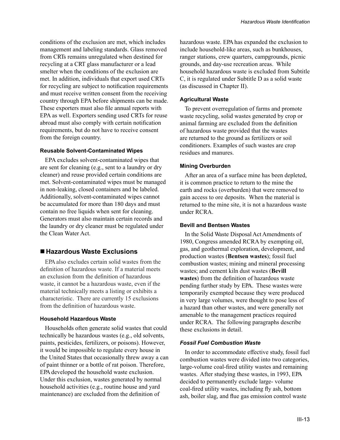conditions of the exclusion are met, which includes management and labeling standards. Glass removed from CRTs remains unregulated when destined for recycling at a CRT glass manufacturer or a lead smelter when the conditions of the exclusion are met. In addition, individuals that export used CRTs for recycling are subject to notification requirements and must receive written consent from the receiving country through EPA before shipments can be made. These exporters must also file annual reports with EPA as well. Exporters sending used CRTs for reuse abroad must also comply with certain notification requirements, but do not have to receive consent from the foreign country.

#### **Reusable Solvent-Contaminated Wipes**

EPA excludes solvent-contaminated wipes that are sent for cleaning (e.g., sent to a laundry or dry cleaner) and reuse provided certain conditions are met. Solvent-contaminated wipes must be managed in non-leaking, closed containers and be labeled. Additionally, solvent-contaminated wipes cannot be accumulated for more than 180 days and must contain no free liquids when sent for cleaning. Generators must also maintain certain records and the laundry or dry cleaner must be regulated under the Clean Water Act.

## **Hazardous Waste Exclusions**

EPA also excludes certain solid wastes from the definition of hazardous waste. If a material meets an exclusion from the definition of hazardous waste, it cannot be a hazardous waste, even if the material technically meets a listing or exhibits a characteristic. There are currently 15 exclusions from the definition of hazardous waste.

#### **Household Hazardous Waste**

Households often generate solid wastes that could technically be hazardous wastes (e.g., old solvents, paints, pesticides, fertilizers, or poisons). However, it would be impossible to regulate every house in the United States that occasionally threw away a can of paint thinner or a bottle of rat poison. Therefore, EPA developed the household waste exclusion. Under this exclusion, wastes generated by normal household activities (e.g., routine house and yard maintenance) are excluded from the definition of

hazardous waste. EPA has expanded the exclusion to include household-like areas, such as bunkhouses, ranger stations, crew quarters, campgrounds, picnic grounds, and day-use recreation areas. While household hazardous waste is excluded from Subtitle C, it is regulated under Subtitle D as a solid waste (as discussed in Chapter II).

#### **Agricultural Waste**

To prevent overregulation of farms and promote waste recycling, solid wastes generated by crop or animal farming are excluded from the definition of hazardous waste provided that the wastes are returned to the ground as fertilizers or soil conditioners. Examples of such wastes are crop residues and manures.

#### **Mining Overburden**

After an area of a surface mine has been depleted, it is common practice to return to the mine the earth and rocks (overburden) that were removed to gain access to ore deposits. When the material is returned to the mine site, it is not a hazardous waste under RCRA.

#### **Bevill and Bentsen Wastes**

In the Solid Waste Disposal Act Amendments of 1980, Congress amended RCRA by exempting oil, gas, and geothermal exploration, development, and production wastes (**Bentsen wastes**); fossil fuel combustion wastes; mining and mineral processing wastes; and cement kiln dust wastes (**Bevill wastes**) from the definition of hazardous waste pending further study by EPA. These wastes were temporarily exempted because they were produced in very large volumes, were thought to pose less of a hazard than other wastes, and were generally not amenable to the management practices required under RCRA. The following paragraphs describe these exclusions in detail.

#### *Fossil Fuel Combustion Waste*

In order to accommodate effective study, fossil fuel combustion wastes were divided into two categories, large-volume coal-fired utility wastes and remaining wastes. After studying these wastes, in 1993, EPA decided to permanently exclude large- volume coal-fired utility wastes, including fly ash, bottom ash, boiler slag, and flue gas emission control waste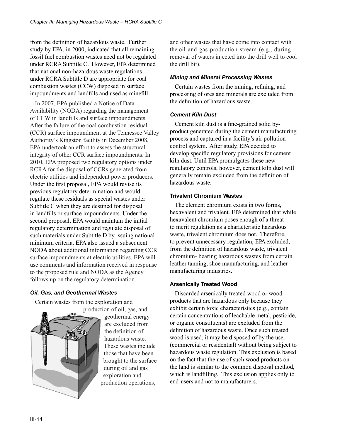from the definition of hazardous waste. Further study by EPA, in 2000, indicated that all remaining fossil fuel combustion wastes need not be regulated under RCRA Subtitle C. However, EPA determined that national non-hazardous waste regulations under RCRA Subtitle D are appropriate for coal combustion wastes (CCW) disposed in surface impoundments and landfills and used as minefill.

In 2007, EPA published a Notice of Data Availability (NODA) regarding the management of CCW in landfills and surface impoundments. After the failure of the coal combustion residual (CCR) surface impoundment at the Tennessee Valley Authority's Kingston facility in December 2008, EPA undertook an effort to assess the structural integrity of other CCR surface impoundments. In 2010, EPA proposed two regulatory options under RCRA for the disposal of CCRs generated from electric utilities and independent power producers. Under the first proposal, EPA would revise its previous regulatory determination and would regulate these residuals as special wastes under Subtitle C when they are destined for disposal in landfills or surface impoundments. Under the second proposal, EPA would maintain the initial regulatory determination and regulate disposal of such materials under Subtitle D by issuing national minimum criteria. EPA also issued a subsequent NODA about additional information regarding CCR surface impoundments at electric utilities. EPA will use comments and information received in response to the proposed rule and NODA as the Agency follows up on the regulatory determination.

## *Oil, Gas, and Geothermal Wastes*

Certain wastes from the exploration and



production of oil, gas, and geothermal energy are excluded from the definition of hazardous waste. These wastes include those that have been brought to the surface during oil and gas exploration and production operations,

and other wastes that have come into contact with the oil and gas production stream (e.g., during removal of waters injected into the drill well to cool the drill bit).

#### *Mining and Mineral Processing Wastes*

Certain wastes from the mining, refining, and processing of ores and minerals are excluded from the definition of hazardous waste.

## *Cement Kiln Dust*

Cement kiln dust is a fine-grained solid byproduct generated during the cement manufacturing process and captured in a facility's air pollution control system. After study, EPA decided to develop specific regulatory provisions for cement kiln dust. Until EPA promulgates these new regulatory controls, however, cement kiln dust will generally remain excluded from the definition of hazardous waste.

#### **Trivalent Chromium Wastes**

The element chromium exists in two forms, hexavalent and trivalent. EPA determined that while hexavalent chromium poses enough of a threat to merit regulation as a characteristic hazardous waste, trivalent chromium does not. Therefore, to prevent unnecessary regulation, EPA excluded, from the definition of hazardous waste, trivalent chromium- bearing hazardous wastes from certain leather tanning, shoe manufacturing, and leather manufacturing industries.

## **Arsenically Treated Wood**

Discarded arsenically treated wood or wood products that are hazardous only because they exhibit certain toxic characteristics (e.g., contain certain concentrations of leachable metal, pesticide, or organic constituents) are excluded from the definition of hazardous waste. Once such treated wood is used, it may be disposed of by the user (commercial or residential) without being subject to hazardous waste regulation. This exclusion is based on the fact that the use of such wood products on the land is similar to the common disposal method, which is landfilling. This exclusion applies only to end-users and not to manufacturers.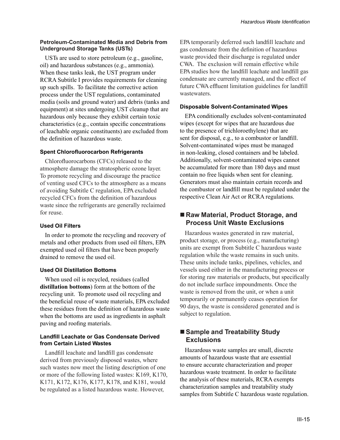#### **Petroleum-Contaminated Media and Debris from Underground Storage Tanks (USTs)**

USTs are used to store petroleum (e.g., gasoline, oil) and hazardous substances (e.g., ammonia). When these tanks leak, the UST program under RCRA Subtitle I provides requirements for cleaning up such spills. To facilitate the corrective action process under the UST regulations, contaminated media (soils and ground water) and debris (tanks and equipment) at sites undergoing UST cleanup that are hazardous only because they exhibit certain toxic characteristics (e.g., contain specific concentrations of leachable organic constituents) are excluded from the definition of hazardous waste.

#### **Spent Chlorofluorocarbon Refrigerants**

Chlorofluorocarbons (CFCs) released to the atmosphere damage the stratospheric ozone layer. To promote recycling and discourage the practice of venting used CFCs to the atmosphere as a means of avoiding Subtitle C regulation, EPA excluded recycled CFCs from the definition of hazardous waste since the refrigerants are generally reclaimed for reuse.

## **Used Oil Filters**

In order to promote the recycling and recovery of metals and other products from used oil filters, EPA exempted used oil filters that have been properly drained to remove the used oil.

## **Used Oil Distillation Bottoms**

When used oil is recycled, residues (called **distillation bottoms**) form at the bottom of the recycling unit. To promote used oil recycling and the beneficial reuse of waste materials, EPA excluded these residues from the definition of hazardous waste when the bottoms are used as ingredients in asphalt paving and roofing materials.

#### **Landfill Leachate or Gas Condensate Derived from Certain Listed Wastes**

Landfill leachate and landfill gas condensate derived from previously disposed wastes, where such wastes now meet the listing description of one or more of the following listed wastes: K169, K170, K171, K172, K176, K177, K178, and K181, would be regulated as a listed hazardous waste. However,

EPAtemporarily deferred such landfill leachate and gas condensate from the definition of hazardous waste provided their discharge is regulated under CWA. The exclusion will remain effective while EPAstudies how the landfill leachate and landfill gas condensate are currently managed, and the effect of future CWAeffluent limitation guidelines for landfill wastewaters.

## **Disposable Solvent-Contaminated Wipes**

EPA conditionally excludes solvent-contaminated wipes (except for wipes that are hazardous due to the presence of trichloroethylene) that are sent for disposal, e.g., to a combustor or landfill. Solvent-contaminated wipes must be managed in non-leaking, closed containers and be labeled. Additionally, solvent-contaminated wipes cannot be accumulated for more than 180 days and must contain no free liquids when sent for cleaning. Generators must also maintain certain records and the combustor or landfill must be regulated under the respective Clean Air Act or RCRA regulations.

## ■ Raw Material, Product Storage, and **Process Unit Waste Exclusions**

Hazardous wastes generated in raw material, product storage, or process (e.g., manufacturing) units are exempt from Subtitle C hazardous waste regulation while the waste remains in such units. These units include tanks, pipelines, vehicles, and vessels used either in the manufacturing process or for storing raw materials or products, but specifically do not include surface impoundments. Once the waste is removed from the unit, or when a unit temporarily or permanently ceases operation for 90 days, the waste is considered generated and is subject to regulation.

# ■ Sample and Treatability Study **Exclusions**

Hazardous waste samples are small, discrete amounts of hazardous waste that are essential to ensure accurate characterization and proper hazardous waste treatment. In order to facilitate the analysis of these materials, RCRA exempts characterization samples and treatability study samples from Subtitle C hazardous waste regulation.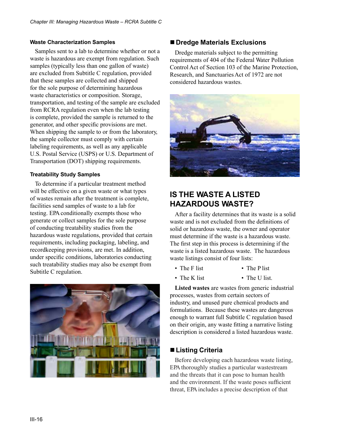#### **Waste Characterization Samples**

Samples sent to a lab to determine whether or not a waste is hazardous are exempt from regulation. Such samples (typically less than one gallon of waste) are excluded from Subtitle C regulation, provided that these samples are collected and shipped for the sole purpose of determining hazardous waste characteristics or composition. Storage, transportation, and testing of the sample are excluded from RCRA regulation even when the lab testing is complete, provided the sample is returned to the generator, and other specific provisions are met. When shipping the sample to or from the laboratory, the sample collector must comply with certain labeling requirements, as well as any applicable U.S. Postal Service (USPS) or U.S. Department of Transportation (DOT) shipping requirements.

#### **Treatability Study Samples**

To determine if a particular treatment method will be effective on a given waste or what types of wastes remain after the treatment is complete, facilities send samples of waste to a lab for testing. EPA conditionally exempts those who generate or collect samples for the sole purpose of conducting treatability studies from the hazardous waste regulations, provided that certain requirements, including packaging, labeling, and recordkeeping provisions, are met. In addition, under specific conditions, laboratories conducting such treatability studies may also be exempt from Subtitle C regulation.



## **Dredge Materials Exclusions**

Dredge materials subject to the permitting requirements of 404 of the Federal Water Pollution Control Act of Section 103 of the Marine Protection, Research, and Sanctuaries Act of 1972 are not considered hazardous wastes.



# **IS THE WASTE A LISTED HAZARDOUS WASTE?**

After a facility determines that its waste is a solid waste and is not excluded from the definitions of solid or hazardous waste, the owner and operator must determine if the waste is a hazardous waste. The first step in this process is determining if the waste is a listed hazardous waste. The hazardous waste listings consist of four lists:

- The F list • The P list
- The K list
	- The U list.

**Listed wastes** are wastes from generic industrial processes, wastes from certain sectors of industry, and unused pure chemical products and formulations. Because these wastes are dangerous enough to warrant full Subtitle C regulation based on their origin, any waste fitting a narrative listing description is considered a listed hazardous waste.

# **Listing Criteria**

Before developing each hazardous waste listing, EPA thoroughly studies a particular wastestream and the threats that it can pose to human health and the environment. If the waste poses sufficient threat, EPA includes a precise description of that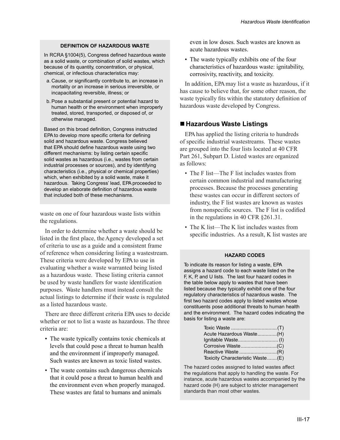#### **DEFINITION OF HAZARDOUS WASTE**

In RCRA §1004(5), Congress defined hazardous waste as a solid waste, or combination of solid wastes, which because of its quantity, concentration, or physical, chemical, or infectious characteristics may:

- a. Cause, or significantly contribute to, an increase in mortality or an increase in serious irreversible, or incapacitating reversible, illness; or
- b.Pose a substantial present or potential hazard to human health or the environment when improperly treated, stored, transported, or disposed of, or otherwise managed.

Based on this broad definition, Congress instructed EPA to develop more specific criteria for defining solid and hazardous waste. Congress believed that EPA should define hazardous waste using two different mechanisms: by listing certain specific solid wastes as hazardous (i.e., wastes from certain industrial processes or sources), and by identifying characteristics (i.e., physical or chemical properties) which, when exhibited by a solid waste, make it hazardous. Taking Congress' lead, EPA proceeded to develop an elaborate definition of hazardous waste that included both of these mechanisms.

waste on one of four hazardous waste lists within the regulations.

In order to determine whether a waste should be listed in the first place, the Agency developed a set of criteria to use as a guide and a consistent frame of reference when considering listing a wastestream. These criteria were developed by EPA to use in evaluating whether a waste warranted being listed as a hazardous waste. These listing criteria cannot be used by waste handlers for waste identification purposes. Waste handlers must instead consult the actual listings to determine if their waste is regulated as a listed hazardous waste.

There are three different criteria EPA uses to decide whether or not to list a waste as hazardous. The three criteria are:

- The waste typically contains toxic chemicals at levels that could pose a threat to human health and the environment if improperly managed. Such wastes are known as toxic listed wastes.
- The waste contains such dangerous chemicals that it could pose a threat to human health and the environment even when properly managed. These wastes are fatal to humans and animals

even in low doses. Such wastes are known as acute hazardous wastes.

• The waste typically exhibits one of the four characteristics of hazardous waste: ignitability, corrosivity, reactivity, and toxicity.

In addition, EPA may list a waste as hazardous, if it has cause to believe that, for some other reason, the waste typically fits within the statutory definition of hazardous waste developed by Congress.

## **Hazardous Waste Listings**

EPA has applied the listing criteria to hundreds of specific industrial wastestreams. These wastes are grouped into the four lists located at 40 CFR Part 261, Subpart D. Listed wastes are organized as follows:

- The F list—The F list includes wastes from certain common industrial and manufacturing processes. Because the processes generating these wastes can occur in different sectors of industry, the F list wastes are known as wastes from nonspecific sources. The F list is codified in the regulations in 40 CFR §261.31.
- The K list—The K list includes wastes from specific industries. As a result, K list wastes are

#### **HAZARD CODES**

To indicate its reason for listing a waste, EPA assigns a hazard code to each waste listed on the F, K, P, and U lists. The last four hazard codes in the table below apply to wastes that have been listed because they typically exhibit one of the four regulatory characteristics of hazardous waste. The first two hazard codes apply to listed wastes whose constituents pose additional threats to human health and the environment. The hazard codes indicating the basis for listing a waste are:

| Acute Hazardous Waste(H)         |  |
|----------------------------------|--|
|                                  |  |
|                                  |  |
|                                  |  |
| Toxicity Characteristic Waste(E) |  |

The hazard codes assigned to listed wastes affect the regulations that apply to handling the waste. For instance, acute hazardous wastes accompanied by the hazard code (H) are subject to stricter management standards than most other wastes.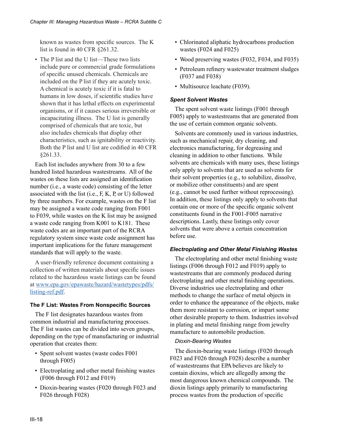known as wastes from specific sources. The K list is found in 40 CFR §261.32.

• The P list and the U list—These two lists include pure or commercial grade formulations of specific unused chemicals. Chemicals are included on the P list if they are acutely toxic. A chemical is acutely toxic if it is fatal to humans in low doses, if scientific studies have shown that it has lethal effects on experimental organisms, or if it causes serious irreversible or incapacitating illness. The U list is generally comprised of chemicals that are toxic, but also includes chemicals that display other characteristics, such as ignitability or reactivity. Both the P list and U list are codified in 40 CFR §261.33.

Each list includes anywhere from 30 to a few hundred listed hazardous wastestreams. All of the wastes on these lists are assigned an identification number (i.e., a waste code) consisting of the letter associated with the list (i.e., F, K, P, or U) followed by three numbers. For example, wastes on the F list may be assigned a waste code ranging from F001 to F039, while wastes on the K list may be assigned a waste code ranging from K001 to K181. These waste codes are an important part of the RCRA regulatory system since waste code assignment has important implications for the future management standards that will apply to the waste.

A user-friendly reference document containing a collection of written materials about specific issues related to the hazardous waste listings can be found at [www.epa.gov/epawaste/hazard/wastetypes/pdfs/](www.epa.gov/epawaste/hazard/wastetypes/pdfs/listing-ref.pdf) [listing-ref.pdf.](www.epa.gov/epawaste/hazard/wastetypes/pdfs/listing-ref.pdf)

#### **The F List: Wastes From Nonspecific Sources**

The F list designates hazardous wastes from common industrial and manufacturing processes. The F list wastes can be divided into seven groups, depending on the type of manufacturing or industrial operation that creates them:

- Spent solvent wastes (waste codes F001 through F005)
- Electroplating and other metal finishing wastes (F006 through F012 and F019)
- Dioxin-bearing wastes (F020 through F023 and F026 through F028)
- Chlorinated aliphatic hydrocarbons production wastes (F024 and F025)
- Wood preserving wastes (F032, F034, and F035)
- Petroleum refinery wastewater treatment sludges (F037 and F038)
- Multisource leachate (F039).

#### *Spent Solvent Wastes*

The spent solvent waste listings (F001 through F005) apply to wastestreams that are generated from the use of certain common organic solvents.

Solvents are commonly used in various industries, such as mechanical repair, dry cleaning, and electronics manufacturing, for degreasing and cleaning in addition to other functions. While solvents are chemicals with many uses, these listings only apply to solvents that are used as solvents for their solvent properties (e.g., to solubilize, dissolve, or mobilize other constituents) and are spent (e.g., cannot be used further without reprocessing). In addition, these listings only apply to solvents that contain one or more of the specific organic solvent constituents found in the F001-F005 narrative descriptions. Lastly, these listings only cover solvents that were above a certain concentration before use.

#### *Electroplating and Other Metal Finishing Wastes*

The electroplating and other metal finishing waste listings (F006 through F012 and F019) apply to wastestreams that are commonly produced during electroplating and other metal finishing operations. Diverse industries use electroplating and other methods to change the surface of metal objects in order to enhance the appearance of the objects, make them more resistant to corrosion, or impart some other desirable property to them. Industries involved in plating and metal finishing range from jewelry manufacture to automobile production.

## *Dioxin-Bearing Wastes*

The dioxin-bearing waste listings (F020 through F023 and F026 through F028) describe a number of wastestreams that EPA believes are likely to contain dioxins, which are allegedly among the most dangerous known chemical compounds. The dioxin listings apply primarily to manufacturing process wastes from the production of specific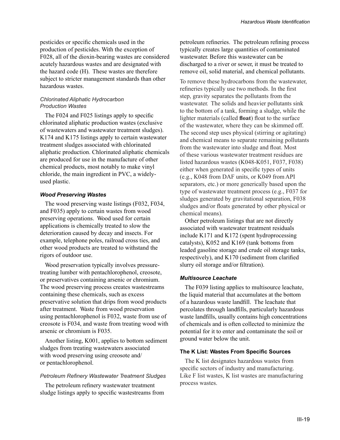pesticides or specific chemicals used in the production of pesticides. With the exception of F028, all of the dioxin-bearing wastes are considered acutely hazardous wastes and are designated with the hazard code (H). These wastes are therefore subject to stricter management standards than other hazardous wastes.

#### *Chlorinated Aliphatic Hydrocarbon Production Wastes*

The F024 and F025 listings apply to specific chlorinated aliphatic production wastes (exclusive of wastewaters and wastewater treatment sludges). K174 and K175 listings apply to certain wastewater treatment sludges associated with chlorinated aliphatic production. Chlorinated aliphatic chemicals are produced for use in the manufacture of other chemical products, most notably to make vinyl chloride, the main ingredient in PVC, a widelyused plastic.

#### *Wood Preserving Wastes*

The wood preserving waste listings (F032, F034, and F035) apply to certain wastes from wood preserving operations. Wood used for certain applications is chemically treated to slow the deterioration caused by decay and insects. For example, telephone poles, railroad cross ties, and other wood products are treated to withstand the rigors of outdoor use.

Wood preservation typically involves pressuretreating lumber with pentachlorophenol, creosote, or preservatives containing arsenic or chromium. The wood preserving process creates wastestreams containing these chemicals, such as excess preservative solution that drips from wood products after treatment. Waste from wood preservation using pentachlorophenol is F032, waste from use of creosote is F034, and waste from treating wood with arsenic or chromium is F035.

Another listing, K001, applies to bottom sediment sludges from treating wastewaters associated with wood preserving using creosote and/ or pentachlorophenol.

#### *Petroleum Refinery Wastewater Treatment Sludges*

The petroleum refinery wastewater treatment sludge listings apply to specific wastestreams from petroleum refineries. The petroleum refining process typically creates large quantities of contaminated wastewater. Before this wastewater can be discharged to a river or sewer, it must be treated to remove oil, solid material, and chemical pollutants.

To remove these hydrocarbons from the wastewater, refineries typically use two methods. In the first step, gravity separates the pollutants from the wastewater. The solids and heavier pollutants sink to the bottom of a tank, forming a sludge, while the lighter materials (called **float**) float to the surface of the wastewater, where they can be skimmed off. The second step uses physical (stirring or agitating) and chemical means to separate remaining pollutants from the wastewater into sludge and float. Most of these various wastewater treatment residues are listed hazardous wastes (K048-K051, F037, F038) either when generated in specific types of units (e.g., K048 from DAF units, or K049 from API separators, etc.) or more generically based upon the type of wastewater treatment process (e.g., F037 for sludges generated by gravitational separation, F038 sludges and/or floats generated by other physical or chemical means).

Other petroleum listings that are not directly associated with wastewater treatment residuals include K171 and K172 (spent hydroprocessing catalysts), K052 and K169 (tank bottoms from leaded gasoline storage and crude oil storage tanks, respectively), and K170 (sediment from clarified slurry oil storage and/or filtration).

## *Multisource Leachate*

The F039 listing applies to multisource leachate, the liquid material that accumulates at the bottom of a hazardous waste landfill. The leachate that percolates through landfills, particularly hazardous waste landfills, usually contains high concentrations of chemicals and is often collected to minimize the potential for it to enter and contaminate the soil or ground water below the unit.

#### **The K List: Wastes From Specific Sources**

The K list designates hazardous wastes from specific sectors of industry and manufacturing. Like F list wastes, K list wastes are manufacturing process wastes.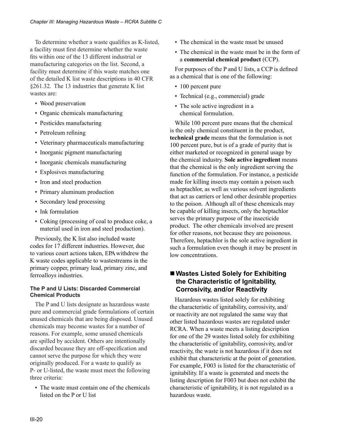To determine whether a waste qualifies as K-listed, a facility must first determine whether the waste fits within one of the 13 different industrial or manufacturing categories on the list. Second, a facility must determine if this waste matches one of the detailed K list waste descriptions in 40 CFR §261.32. The 13 industries that generate K list wastes are:

- Wood preservation
- Organic chemicals manufacturing
- Pesticides manufacturing
- Petroleum refining
- Veterinary pharmaceuticals manufacturing
- Inorganic pigment manufacturing
- Inorganic chemicals manufacturing
- Explosives manufacturing
- Iron and steel production
- Primary aluminum production
- Secondary lead processing
- Ink formulation
- Coking (processing of coal to produce coke, a material used in iron and steel production).

Previously, the K list also included waste codes for 17 different industries. However, due to various court actions taken, EPA withdrew the K waste codes applicable to wastestreams in the primary copper, primary lead, primary zinc, and ferroalloys industries.

#### **The P and U Lists: Discarded Commercial Chemical Products**

The P and U lists designate as hazardous waste pure and commercial grade formulations of certain unused chemicals that are being disposed. Unused chemicals may become wastes for a number of reasons. For example, some unused chemicals are spilled by accident. Others are intentionally discarded because they are off-specification and cannot serve the purpose for which they were originally produced. For a waste to qualify as P- or U-listed, the waste must meet the following three criteria:

• The waste must contain one of the chemicals listed on the P or U list

- The chemical in the waste must be unused
- The chemical in the waste must be in the form of a **commercial chemical product** (CCP).

For purposes of the P and U lists, a CCP is defined as a chemical that is one of the following:

- 100 percent pure
- Technical (e.g., commercial) grade
- The sole active ingredient in a chemical formulation.

While 100 percent pure means that the chemical is the only chemical constituent in the product, **technical grade** means that the formulation is not 100 percent pure, but is of a grade of purity that is either marketed or recognized in general usage by the chemical industry. **Sole active ingredient** means that the chemical is the only ingredient serving the function of the formulation. For instance, a pesticide made for killing insects may contain a poison such as heptachlor, as well as various solvent ingredients that act as carriers or lend other desirable properties to the poison. Although all of these chemicals may be capable of killing insects, only the heptachlor serves the primary purpose of the insecticide product. The other chemicals involved are present for other reasons, not because they are poisonous. Therefore, heptachlor is the sole active ingredient in such a formulation even though it may be present in low concentrations.

# **Wastes Listed Solely for Exhibiting the Characteristic of Ignitability, Corrosivity, and/or Reactivity**

Hazardous wastes listed solely for exhibiting the characteristic of ignitability, corrosivity, and/ or reactivity are not regulated the same way that other listed hazardous wastes are regulated under RCRA. When a waste meets a listing description for one of the 29 wastes listed solely for exhibiting the characteristic of ignitability, corrosivity, and/or reactivity, the waste is not hazardous if it does not exhibit that characteristic at the point of generation. For example, F003 is listed for the characteristic of ignitability. If a waste is generated and meets the listing description for F003 but does not exhibit the characteristic of ignitability, it is not regulated as a hazardous waste.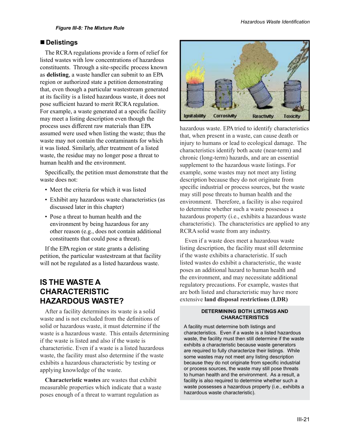## **Delistings**

The RCRA regulations provide a form of relief for listed wastes with low concentrations of hazardous constituents. Through a site-specific process known as **delisting**, a waste handler can submit to an EPA region or authorized state a petition demonstrating that, even though a particular wastestream generated at its facility is a listed hazardous waste, it does not pose sufficient hazard to merit RCRA regulation. For example, a waste generated at a specific facility may meet a listing description even though the process uses different raw materials than EPA assumed were used when listing the waste; thus the waste may not contain the contaminants for which it was listed. Similarly, after treatment of a listed waste, the residue may no longer pose a threat to human health and the environment.

Specifically, the petition must demonstrate that the waste does not:

- Meet the criteria for which it was listed
- Exhibit any hazardous waste characteristics (as discussed later in this chapter)
- Pose a threat to human health and the environment by being hazardous for any other reason (e.g., does not contain additional constituents that could pose a threat).

If the EPA region or state grants a delisting petition, the particular wastestream at that facility will not be regulated as a listed hazardous waste.

# **IS THE WASTE A CHARACTERISTIC HAZARDOUS WASTE?**

After a facility determines its waste is a solid waste and is not excluded from the definitions of solid or hazardous waste, it must determine if the waste is a hazardous waste. This entails determining if the waste is listed and also if the waste is characteristic. Even if a waste is a listed hazardous waste, the facility must also determine if the waste exhibits a hazardous characteristic by testing or applying knowledge of the waste.

**Characteristic wastes** are wastes that exhibit measurable properties which indicate that a waste poses enough of a threat to warrant regulation as



hazardous waste. EPA tried to identify characteristics that, when present in a waste, can cause death or injury to humans or lead to ecological damage. The characteristics identify both acute (near-term) and chronic (long-term) hazards, and are an essential supplement to the hazardous waste listings. For example, some wastes may not meet any listing description because they do not originate from specific industrial or process sources, but the waste may still pose threats to human health and the environment. Therefore, a facility is also required to determine whether such a waste possesses a hazardous property (i.e., exhibits a hazardous waste characteristic). The characteristics are applied to any RCRA solid waste from any industry.

Even if a waste does meet a hazardous waste listing description, the facility must still determine if the waste exhibits a characteristic. If such listed wastes do exhibit a characteristic, the waste poses an additional hazard to human health and the environment, and may necessitate additional regulatory precautions. For example, wastes that are both listed and characteristic may have more extensive **land disposal restrictions (LDR)** 

#### **DETERMINING BOTH LISTINGS AND CHARACTERISTICS**

A facility must determine both listings and characteristics. Even if a waste is a listed hazardous waste, the facility must then still determine if the waste exhibits a characteristic because waste generators are required to fully characterize their listings. While some wastes may not meet any listing description because they do not originate from specific industrial or process sources, the waste may still pose threats to human health and the environment. As a result, a facility is also required to determine whether such a waste possesses a hazardous property (i.e., exhibits a hazardous waste characteristic).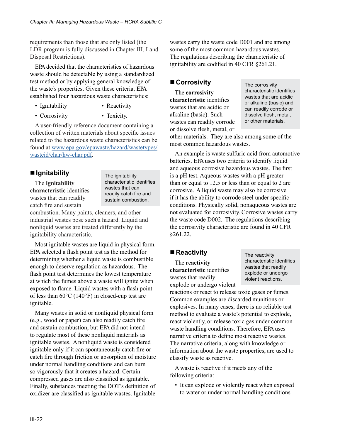requirements than those that are only listed (the LDR program is fully discussed in Chapter III, Land Disposal Restrictions).

EPA decided that the characteristics of hazardous waste should be detectable by using a standardized test method or by applying general knowledge of the waste's properties. Given these criteria, EPA established four hazardous waste characteristics:

• Ignitability

• Corrosivity

• Toxicity.

• Reactivity

A user-friendly reference document containing a collection of written materials about specific issues related to the hazardous waste characteristics can be found at [www.epa.gov/epawaste/hazard/wastetypes/](www.epa.gov/epawaste/hazard/wastetypes/wasteid/char/hw-char.pdf) [wasteid/char/hw-char.pdf](www.epa.gov/epawaste/hazard/wastetypes/wasteid/char/hw-char.pdf).

# **Ignitability**

The **ignitability characteristic** identifies wastes that can readily catch fire and sustain

The ignitability characteristic identifies wastes that can readily catch fire and sustain combustion.

combustion. Many paints, cleaners, and other industrial wastes pose such a hazard. Liquid and nonliquid wastes are treated differently by the ignitability characteristic.

Most ignitable wastes are liquid in physical form. EPA selected a flash point test as the method for determining whether a liquid waste is combustible enough to deserve regulation as hazardous. The flash point test determines the lowest temperature at which the fumes above a waste will ignite when exposed to flame. Liquid wastes with a flash point of less than 60°C (140°F) in closed-cup test are ignitable.

Many wastes in solid or nonliquid physical form (e.g., wood or paper) can also readily catch fire and sustain combustion, but EPA did not intend to regulate most of these nonliquid materials as ignitable wastes. A nonliquid waste is considered ignitable only if it can spontaneously catch fire or catch fire through friction or absorption of moisture under normal handling conditions and can burn so vigorously that it creates a hazard. Certain compressed gases are also classified as ignitable. Finally, substances meeting the DOT's definition of oxidizer are classified as ignitable wastes. Ignitable wastes carry the waste code D001 and are among some of the most common hazardous wastes. The regulations describing the characteristic of ignitability are codified in 40 CFR §261.21.

# ■ Corrosivity

The **corrosivity characteristic** identifies wastes that are acidic or alkaline (basic). Such wastes can readily corrode or dissolve flesh, metal, or

The corrosivity characteristic identifies wastes that are acidic or alkaline (basic) and can readily corrode or dissolve flesh, metal, or other materials.

other materials. They are also among some of the most common hazardous wastes.

An example is waste sulfuric acid from automotive batteries. EPA uses two criteria to identify liquid and aqueous corrosive hazardous wastes. The first is a pH test. Aqueous wastes with a pH greater than or equal to 12.5 or less than or equal to 2 are corrosive. A liquid waste may also be corrosive if it has the ability to corrode steel under specific conditions. Physically solid, nonaqueous wastes are not evaluated for corrosivity. Corrosive wastes carry the waste code D002. The regulations describing the corrosivity characteristic are found in 40 CFR §261.22.

## ■ Reactivity

The **reactivity characteristic** identifies wastes that readily explode or undergo violent The reactivity characteristic identifies wastes that readily explode or undergo violent reactions.

reactions or react to release toxic gases or fumes. Common examples are discarded munitions or explosives. In many cases, there is no reliable test method to evaluate a waste's potential to explode, react violently, or release toxic gas under common waste handling conditions. Therefore, EPA uses narrative criteria to define most reactive wastes. The narrative criteria, along with knowledge or information about the waste properties, are used to classify waste as reactive.

A waste is reactive if it meets any of the following criteria:

• It can explode or violently react when exposed to water or under normal handling conditions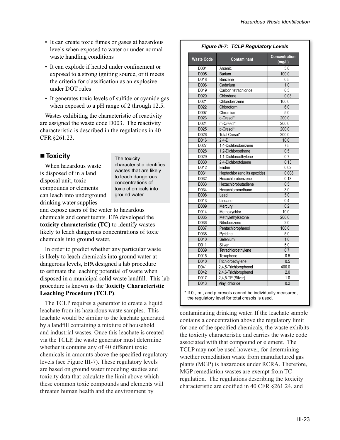- It can create toxic fumes or gases at hazardous levels when exposed to water or under normal waste handling conditions
- It can explode if heated under confinement or exposed to a strong igniting source, or it meets the criteria for classification as an explosive under DOT rules
- It generates toxic levels of sulfide or cyanide gas when exposed to a pH range of 2 through 12.5.

Wastes exhibiting the characteristic of reactivity are assigned the waste code D003. The reactivity characteristic is described in the regulations in 40 CFR §261.23.

## ■ **Toxicity**

When hazardous waste is disposed of in a land disposal unit, toxic compounds or elements can leach into underground drinking water supplies

The toxicity characteristic identifies wastes that are likely to leach dangerous concentrations of toxic chemicals into ground water.

and expose users of the water to hazardous chemicals and constituents. EPA developed the **toxicity characteristic (TC)** to identify wastes likely to leach dangerous concentrations of toxic chemicals into ground water.

In order to predict whether any particular waste is likely to leach chemicals into ground water at dangerous levels, EPA designed a lab procedure to estimate the leaching potential of waste when disposed in a municipal solid waste landfill. This lab procedure is known as the **Toxicity Characteristic Leaching Procedure (TCLP)**.

The TCLP requires a generator to create a liquid leachate from its hazardous waste samples. This leachate would be similar to the leachate generated by a landfill containing a mixture of household and industrial wastes. Once this leachate is created via the TCLP, the waste generator must determine whether it contains any of 40 different toxic chemicals in amounts above the specified regulatory levels (see Figure III-7). These regulatory levels are based on ground water modeling studies and toxicity data that calculate the limit above which these common toxic compounds and elements will threaten human health and the environment by

#### *Figure III-7: TCLP Regulatory Levels*

| <b>Waste Code</b> | <b>Contaminant</b>           | Concentration<br>(mg/L) |
|-------------------|------------------------------|-------------------------|
| D004              | Arsenic                      | $\overline{5.0}$        |
| D005              | Barium                       | 100.0                   |
| D018              | Benzene                      | 0.5                     |
| D006              | Cadmium                      | 1.0                     |
| D019              | Carbon tetrachloride         | 0.5                     |
| D020              | Chlordane                    | 0.03                    |
| D021              | Chlorobenzene                | 100.0                   |
| D022              | Chloroform                   | 6.0                     |
| D007              | Chromium                     | 5.0                     |
| D023              | o-Cresol*                    | 200.0                   |
| D024              | m-Cresol*                    | 200.0                   |
| D025              | p-Cresol*                    | 200.0                   |
| D026              | Total Cresol*                | 200.0                   |
| D016              | $2.4-D$                      | 10.0                    |
| D027              | 1,4-Dichlorobenzene          | 7.5                     |
| D028              | 1,2-Dichloroethane           | 0.5                     |
| D029              | 1,1-Dichloroethylene         | 0.7                     |
| D030              | 2,4-Dichlorotoluene          | 0.13                    |
| D012              | Endrin                       | 0.02                    |
| D031              | Heptachlor (and its epoxide) | 0.008                   |
| D032              | Hexachlorobenzene            | 0.13                    |
| D033              | Hexachlorobutadiene          | 0.5                     |
| D034              | Hexachloromethane            | 3.0                     |
| D008              | Lead                         | 5.0                     |
| D013              | Lindane                      | 0.4                     |
| D009              | Mercury                      | 0.2                     |
| D014              | Methoxychlor                 | 10.0                    |
| D035              | Methylethylketone            | 200.0                   |
| D036              | Nitrobenzene                 | 2.0                     |
| D037              | Pentachlorophenol            | 100.0                   |
| D038              | Pyridine                     | 5.0                     |
| D010              | Selenium                     | 1.0                     |
| D011              | Silver                       | 5.0                     |
| D039              | Tetrachloroethylene          | 0.7                     |
| D015              | Toxaphene                    | 0.5                     |
| D040              | Trichloroethylene            | 0.5                     |
| D041              | 2,4,5-Trichlorophenol        | 400.0                   |
| D042              | 2,4,6-Trichlorophenol        | $\overline{2.0}$        |
| D017              | 2,4,5-TP (Silver)            | 1.0                     |
| D043              | Vinyl chloride               | 0.2                     |

the regulatory level for total cresols is used.

contaminating drinking water. If the leachate sample contains a concentration above the regulatory limit for one of the specified chemicals, the waste exhibits the toxicity characteristic and carries the waste code associated with that compound or element. The TCLP may not be used however, for determining whether remediation waste from manufactured gas plants (MGP) is hazardous under RCRA. Therefore, MGP remediation wastes are exempt from TC regulation. The regulations describing the toxicity characteristic are codified in 40 CFR §261.24, and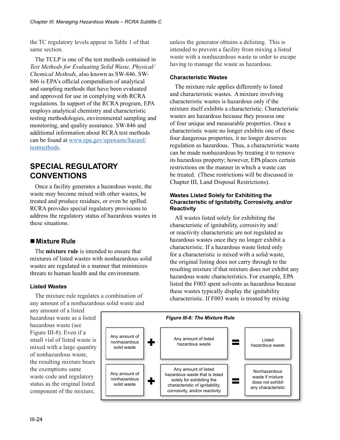the TC regulatory levels appear in Table 1 of that same section.

The TCLP is one of the test methods contained in *Test Methods for Evaluating Solid Waste, Physical/ Chemical Methods*, also known as SW-846. SW-846 is EPA's official compendium of analytical and sampling methods that have been evaluated and approved for use in complying with RCRA regulations. In support of the RCRA program, EPA employs analytical chemistry and characteristic testing methodologies, environmental sampling and monitoring, and quality assurance. SW-846 and additional information about RCRA test methods can be found at [www.epa.gov/epawaste/hazard/](www.epa.gov/epawaste/hazard/testmethods) [testmethods.](www.epa.gov/epawaste/hazard/testmethods)

# **SPECIAL REGULATORY CONVENTIONS**

Once a facility generates a hazardous waste, the waste may become mixed with other wastes, be treated and produce residues, or even be spilled. RCRA provides special regulatory provisions to address the regulatory status of hazardous wastes in these situations.

# **Mixture Rule**

The **mixture rule** is intended to ensure that mixtures of listed wastes with nonhazardous solid wastes are regulated in a manner that minimizes threats to human health and the environment.

## **Listed Wastes**

The mixture rule regulates a combination of any amount of a nonhazardous solid waste and unless the generator obtains a delisting. This is intended to prevent a facility from mixing a listed waste with a nonhazardous waste in order to escape having to manage the waste as hazardous.

## **Characteristic Wastes**

The mixture rule applies differently to listed and characteristic wastes. A mixture involving characteristic wastes is hazardous only if the mixture itself exhibits a characteristic. Characteristic wastes are hazardous because they possess one of four unique and measurable properties. Once a characteristic waste no longer exhibits one of these four dangerous properties, it no longer deserves regulation as hazardous. Thus, a characteristic waste can be made nonhazardous by treating it to remove its hazardous property; however, EPA places certain restrictions on the manner in which a waste can be treated. (These restrictions will be discussed in Chapter III, Land Disposal Restrictions).

#### **Wastes Listed Solely for Exhibiting the Characteristic of Ignitabilty, Corrosivity, and/or Reactivity**

All wastes listed solely for exhibiting the characteristic of ignitability, corrosivity and/ or reactivity characteristic are not regulated as hazardous wastes once they no longer exhibit a characteristic. If a hazardous waste listed only for a characteristic is mixed with a solid waste, the original listing does not carry through to the resulting mixture if that mixture does not exhibit any hazardous waste characteristics. For example, EPA listed the F003 spent solvents as hazardous because these wastes typically display the ignitability characteristic. If F003 waste is treated by mixing

any amount of a listed hazardous waste as a listed hazardous waste (see Figure III-8). Even if a small vial of listed waste is mixed with a large quantity of nonhazardous waste, the resulting mixture bears the exemptions same waste code and regulatory status as the original listed component of the mixture,

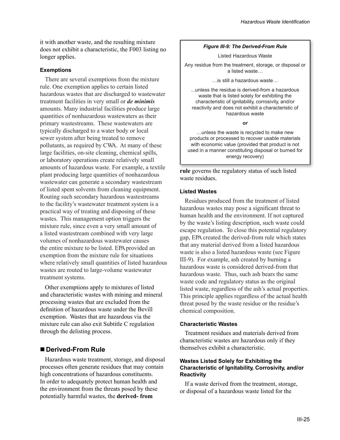it with another waste, and the resulting mixture does not exhibit a characteristic, the F003 listing no longer applies.

#### **Exemptions**

There are several exemptions from the mixture rule. One exemption applies to certain listed hazardous wastes that are discharged to wastewater treatment facilities in very small or *de minimis* amounts. Many industrial facilities produce large quantities of nonhazardous wastewaters as their primary wastestreams. These wastewaters are typically discharged to a water body or local sewer system after being treated to remove pollutants, as required by CWA. At many of these large facilities, on-site cleaning, chemical spills, or laboratory operations create relatively small amounts of hazardous waste. For example, a textile plant producing large quantities of nonhazardous wastewater can generate a secondary wastestream of listed spent solvents from cleaning equipment. Routing such secondary hazardous wastestreams to the facility's wastewater treatment system is a practical way of treating and disposing of these wastes. This management option triggers the mixture rule, since even a very small amount of a listed wastestream combined with very large volumes of nonhazardous wastewater causes the entire mixture to be listed. EPA provided an exemption from the mixture rule for situations where relatively small quantities of listed hazardous wastes are routed to large-volume wastewater treatment systems.

Other exemptions apply to mixtures of listed and characteristic wastes with mining and mineral processing wastes that are excluded from the definition of hazardous waste under the Bevill exemption. Wastes that are hazardous via the mixture rule can also exit Subtitle C regulation through the delisting process.

## **Derived-From Rule**

Hazardous waste treatment, storage, and disposal processes often generate residues that may contain high concentrations of hazardous constituents. In order to adequately protect human health and the environment from the threats posed by these potentially harmful wastes, the **derived- from** 

#### *Figure III-9: The Derived-From Rule*

Listed Hazardous Waste

Any residue from the treatment, storage, or disposal or a listed waste…

…is still a hazardous waste…

...unless the residue is derived-from a hazardous waste that is listed solely for exhibiting the characteristic of ignitability, corrosivity, and/or reactivity and does not exhibit a characteristic of hazardous waste

*or*

…unless the waste is recycled to make new products or processed to recover usable materials with economic value (provided that product is not used in a manner constituting disposal or burned for energy recovery)

**rule** governs the regulatory status of such listed waste residues.

#### **Listed Wastes**

Residues produced from the treatment of listed hazardous wastes may pose a significant threat to human health and the environment. If not captured by the waste's listing description, such waste could escape regulation. To close this potential regulatory gap, EPA created the derived-from rule which states that any material derived from a listed hazardous waste is also a listed hazardous waste (see Figure III-9). For example, ash created by burning a hazardous waste is considered derived-from that hazardous waste. Thus, such ash bears the same waste code and regulatory status as the original listed waste, regardless of the ash's actual properties. This principle applies regardless of the actual health threat posed by the waste residue or the residue's chemical composition.

#### **Characteristic Wastes**

Treatment residues and materials derived from characteristic wastes are hazardous only if they themselves exhibit a characteristic.

#### **Wastes Listed Solely for Exhibiting the Characteristic of Ignitability, Corrosivity, and/or Reactivity**

If a waste derived from the treatment, storage, or disposal of a hazardous waste listed for the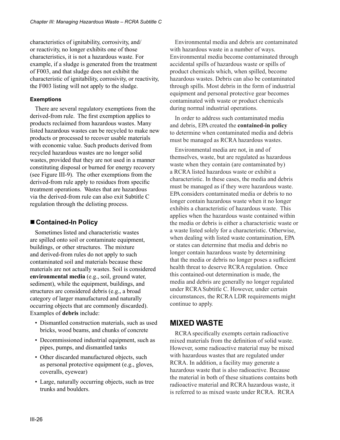characteristics of ignitability, corrosivity, and/ or reactivity, no longer exhibits one of those characteristics, it is not a hazardous waste. For example, if a sludge is generated from the treatment of F003, and that sludge does not exhibit the characteristic of ignitability, corrosivity, or reactivity, the F003 listing will not apply to the sludge.

#### **Exemptions**

There are several regulatory exemptions from the derived-from rule. The first exemption applies to products reclaimed from hazardous wastes. Many listed hazardous wastes can be recycled to make new products or processed to recover usable materials with economic value. Such products derived from recycled hazardous wastes are no longer solid wastes, provided that they are not used in a manner constituting disposal or burned for energy recovery (see Figure III-9). The other exemptions from the derived-from rule apply to residues from specific treatment operations. Wastes that are hazardous via the derived-from rule can also exit Subtitle C regulation through the delisting process.

# **Contained-In Policy**

Sometimes listed and characteristic wastes are spilled onto soil or contaminate equipment, buildings, or other structures. The mixture and derived-from rules do not apply to such contaminated soil and materials because these materials are not actually wastes. Soil is considered **environmental media** (e.g., soil, ground water, sediment), while the equipment, buildings, and structures are considered debris (e.g., a broad category of larger manufactured and naturally occurring objects that are commonly discarded). Examples of **debris** include:

- Dismantled construction materials, such as used bricks, wood beams, and chunks of concrete
- Decommissioned industrial equipment, such as pipes, pumps, and dismantled tanks
- Other discarded manufactured objects, such as personal protective equipment (e.g., gloves, coveralls, eyewear)
- Large, naturally occurring objects, such as tree trunks and boulders.

Environmental media and debris are contaminated with hazardous waste in a number of ways. Environmental media become contaminated through accidental spills of hazardous waste or spills of product chemicals which, when spilled, become hazardous wastes. Debris can also be contaminated through spills. Most debris in the form of industrial equipment and personal protective gear becomes contaminated with waste or product chemicals during normal industrial operations.

In order to address such contaminated media and debris, EPA created the **contained-in policy**  to determine when contaminated media and debris must be managed as RCRA hazardous wastes.

Environmental media are not, in and of themselves, waste, but are regulated as hazardous waste when they contain (are contaminated by) a RCRA listed hazardous waste or exhibit a characteristic. In these cases, the media and debris must be managed as if they were hazardous waste. EPA considers contaminated media or debris to no longer contain hazardous waste when it no longer exhibits a characteristic of hazardous waste. This applies when the hazardous waste contained within the media or debris is either a characteristic waste or a waste listed solely for a characteristic. Otherwise, when dealing with listed waste contamination, EPA or states can determine that media and debris no longer contain hazardous waste by determining that the media or debris no longer poses a sufficient health threat to deserve RCRA regulation. Once this contained-out determination is made, the media and debris are generally no longer regulated under RCRA Subtitle C. However, under certain circumstances, the RCRA LDR requirements might continue to apply.

# **MIXED WASTE**

RCRA specifically exempts certain radioactive mixed materials from the definition of solid waste. However, some radioactive material may be mixed with hazardous wastes that are regulated under RCRA. In addition, a facility may generate a hazardous waste that is also radioactive. Because the material in both of these situations contains both radioactive material and RCRA hazardous waste, it is referred to as mixed waste under RCRA. RCRA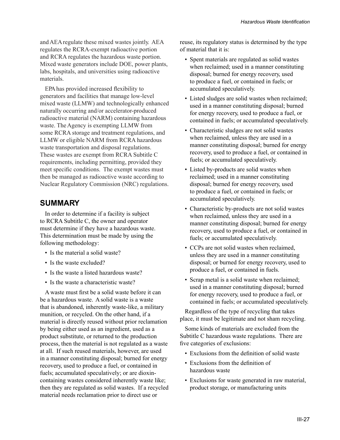and AEA regulate these mixed wastes jointly. AEA regulates the RCRA-exempt radioactive portion and RCRA regulates the hazardous waste portion. Mixed waste generators include DOE, power plants, labs, hospitals, and universities using radioactive materials.

EPAhas provided increased flexibility to generators and facilities that manage low-level mixed waste (LLMW) and technologically enhanced naturally occurring and/or accelerator-produced radioactive material (NARM) containing hazardous waste. The Agency is exempting LLMW from some RCRA storage and treatment regulations, and LLMW or eligible NARM from RCRA hazardous waste transportation and disposal regulations. These wastes are exempt from RCRA Subtitle C requirements, including permitting, provided they meet specific conditions. The exempt wastes must then be managed as radioactive waste according to Nuclear Regulatory Commission (NRC) regulations.

# **SUMMARY**

In order to determine if a facility is subject to RCRA Subtitle C, the owner and operator must determine if they have a hazardous waste. This determination must be made by using the following methodology:

- Is the material a solid waste?
- Is the waste excluded?
- Is the waste a listed hazardous waste?
- Is the waste a characteristic waste?

A waste must first be a solid waste before it can be a hazardous waste. A solid waste is a waste that is abandoned, inherently waste-like, a military munition, or recycled. On the other hand, if a material is directly reused without prior reclamation by being either used as an ingredient, used as a product substitute, or returned to the production process, then the material is not regulated as a waste at all. If such reused materials, however, are used in a manner constituting disposal; burned for energy recovery, used to produce a fuel, or contained in fuels; accumulated speculatively; or are dioxincontaining wastes considered inherently waste like; then they are regulated as solid wastes. If a recycled material needs reclamation prior to direct use or

reuse, its regulatory status is determined by the type of material that it is:

- Spent materials are regulated as solid wastes when reclaimed; used in a manner constituting disposal; burned for energy recovery, used to produce a fuel, or contained in fuels; or accumulated speculatively.
- Listed sludges are solid wastes when reclaimed; used in a manner constituting disposal; burned for energy recovery, used to produce a fuel, or contained in fuels; or accumulated speculatively.
- Characteristic sludges are not solid wastes when reclaimed, unless they are used in a manner constituting disposal; burned for energy recovery, used to produce a fuel, or contained in fuels; or accumulated speculatively.
- Listed by-products are solid wastes when reclaimed; used in a manner constituting disposal; burned for energy recovery, used to produce a fuel, or contained in fuels; or accumulated speculatively.
- Characteristic by-products are not solid wastes when reclaimed, unless they are used in a manner constituting disposal; burned for energy recovery, used to produce a fuel, or contained in fuels; or accumulated speculatively.
- CCPs are not solid wastes when reclaimed, unless they are used in a manner constituting disposal; or burned for energy recovery, used to produce a fuel, or contained in fuels.
- Scrap metal is a solid waste when reclaimed; used in a manner constituting disposal; burned for energy recovery, used to produce a fuel, or contained in fuels; or accumulated speculatively.

Regardless of the type of recycling that takes place, it must be legitimate and not sham recycling.

Some kinds of materials are excluded from the Subtitle C hazardous waste regulations. There are five categories of exclusions:

- Exclusions from the definition of solid waste
- Exclusions from the definition of hazardous waste
- Exclusions for waste generated in raw material, product storage, or manufacturing units